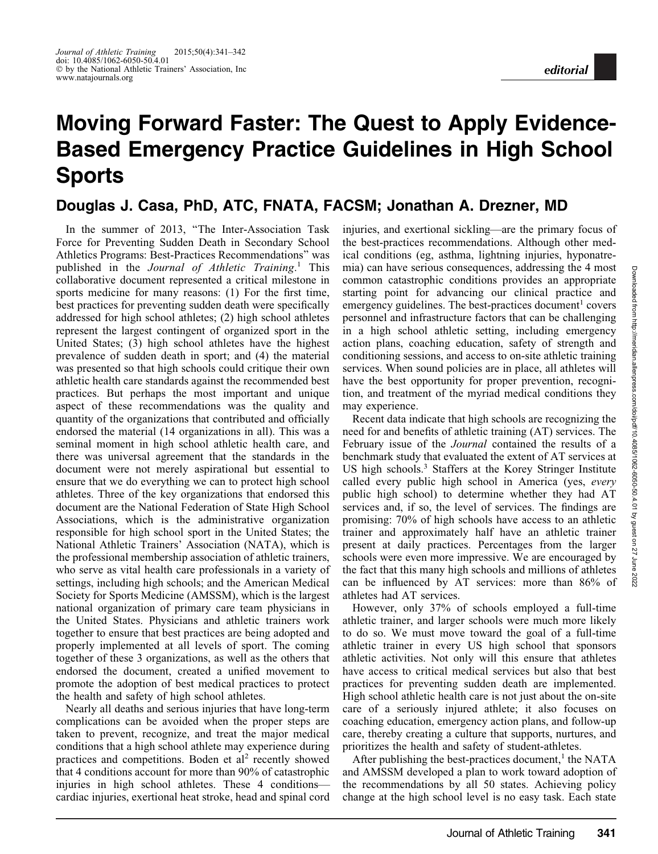## Moving Forward Faster: The Quest to Apply Evidence-Based Emergency Practice Guidelines in High School **Sports**

## Douglas J. Casa, PhD, ATC, FNATA, FACSM; Jonathan A. Drezner, MD

In the summer of 2013, ''The Inter-Association Task Force for Preventing Sudden Death in Secondary School Athletics Programs: Best-Practices Recommendations'' was published in the Journal of Athletic Training.<sup>1</sup> This collaborative document represented a critical milestone in sports medicine for many reasons: (1) For the first time, best practices for preventing sudden death were specifically addressed for high school athletes; (2) high school athletes represent the largest contingent of organized sport in the United States; (3) high school athletes have the highest prevalence of sudden death in sport; and (4) the material was presented so that high schools could critique their own athletic health care standards against the recommended best practices. But perhaps the most important and unique aspect of these recommendations was the quality and quantity of the organizations that contributed and officially endorsed the material (14 organizations in all). This was a seminal moment in high school athletic health care, and there was universal agreement that the standards in the document were not merely aspirational but essential to ensure that we do everything we can to protect high school athletes. Three of the key organizations that endorsed this document are the National Federation of State High School Associations, which is the administrative organization responsible for high school sport in the United States; the National Athletic Trainers' Association (NATA), which is the professional membership association of athletic trainers, who serve as vital health care professionals in a variety of settings, including high schools; and the American Medical Society for Sports Medicine (AMSSM), which is the largest national organization of primary care team physicians in the United States. Physicians and athletic trainers work together to ensure that best practices are being adopted and properly implemented at all levels of sport. The coming together of these 3 organizations, as well as the others that endorsed the document, created a unified movement to promote the adoption of best medical practices to protect the health and safety of high school athletes.

Nearly all deaths and serious injuries that have long-term complications can be avoided when the proper steps are taken to prevent, recognize, and treat the major medical conditions that a high school athlete may experience during practices and competitions. Boden et  $al<sup>2</sup>$  recently showed that 4 conditions account for more than 90% of catastrophic injuries in high school athletes. These 4 conditions cardiac injuries, exertional heat stroke, head and spinal cord injuries, and exertional sickling—are the primary focus of the best-practices recommendations. Although other medical conditions (eg, asthma, lightning injuries, hyponatremia) can have serious consequences, addressing the 4 most common catastrophic conditions provides an appropriate starting point for advancing our clinical practice and emergency guidelines. The best-practices document<sup>1</sup> covers personnel and infrastructure factors that can be challenging in a high school athletic setting, including emergency action plans, coaching education, safety of strength and conditioning sessions, and access to on-site athletic training services. When sound policies are in place, all athletes will have the best opportunity for proper prevention, recognition, and treatment of the myriad medical conditions they may experience.

Recent data indicate that high schools are recognizing the need for and benefits of athletic training (AT) services. The February issue of the Journal contained the results of a benchmark study that evaluated the extent of AT services at US high schools.3 Staffers at the Korey Stringer Institute called every public high school in America (yes, every public high school) to determine whether they had AT services and, if so, the level of services. The findings are promising: 70% of high schools have access to an athletic trainer and approximately half have an athletic trainer present at daily practices. Percentages from the larger schools were even more impressive. We are encouraged by the fact that this many high schools and millions of athletes can be influenced by AT services: more than 86% of athletes had AT services.

However, only 37% of schools employed a full-time athletic trainer, and larger schools were much more likely to do so. We must move toward the goal of a full-time athletic trainer in every US high school that sponsors athletic activities. Not only will this ensure that athletes have access to critical medical services but also that best practices for preventing sudden death are implemented. High school athletic health care is not just about the on-site care of a seriously injured athlete; it also focuses on coaching education, emergency action plans, and follow-up care, thereby creating a culture that supports, nurtures, and prioritizes the health and safety of student-athletes.

After publishing the best-practices document, $<sup>1</sup>$  the NATA</sup> and AMSSM developed a plan to work toward adoption of the recommendations by all 50 states. Achieving policy change at the high school level is no easy task. Each state